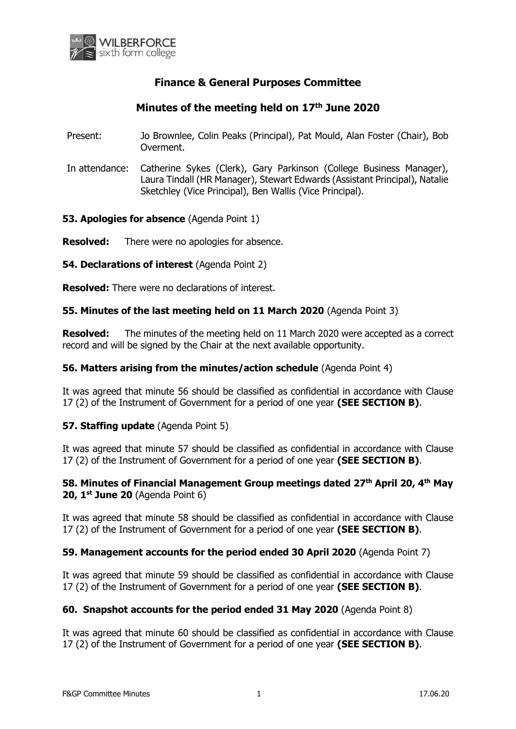

# **Finance & General Purposes Committee**

# **Minutes of the meeting held on 17th June 2020**

- Present: Jo Brownlee, Colin Peaks (Principal), Pat Mould, Alan Foster (Chair), Bob Overment.
- In attendance: Catherine Sykes (Clerk), Gary Parkinson (College Business Manager), Laura Tindall (HR Manager), Stewart Edwards (Assistant Principal), Natalie Sketchley (Vice Principal), Ben Wallis (Vice Principal).

**53. Apologies for absence** (Agenda Point 1)

**Resolved:** There were no apologies for absence.

**54. Declarations of interest** (Agenda Point 2)

**Resolved:** There were no declarations of interest.

## **55. Minutes of the last meeting held on 11 March 2020** (Agenda Point 3)

**Resolved:** The minutes of the meeting held on 11 March 2020 were accepted as a correct record and will be signed by the Chair at the next available opportunity.

#### **56. Matters arising from the minutes/action schedule** (Agenda Point 4)

It was agreed that minute 56 should be classified as confidential in accordance with Clause 17 (2) of the Instrument of Government for a period of one year **(SEE SECTION B)**.

## **57. Staffing update** (Agenda Point 5)

It was agreed that minute 57 should be classified as confidential in accordance with Clause 17 (2) of the Instrument of Government for a period of one year **(SEE SECTION B)**.

## **58. Minutes of Financial Management Group meetings dated 27th April 20, 4 th May 20, 1 st June 20** (Agenda Point 6)

It was agreed that minute 58 should be classified as confidential in accordance with Clause 17 (2) of the Instrument of Government for a period of one year **(SEE SECTION B)**.

## **59. Management accounts for the period ended 30 April 2020** (Agenda Point 7)

It was agreed that minute 59 should be classified as confidential in accordance with Clause 17 (2) of the Instrument of Government for a period of one year **(SEE SECTION B)**.

#### **60. Snapshot accounts for the period ended 31 May 2020** (Agenda Point 8)

It was agreed that minute 60 should be classified as confidential in accordance with Clause 17 (2) of the Instrument of Government for a period of one year **(SEE SECTION B)**.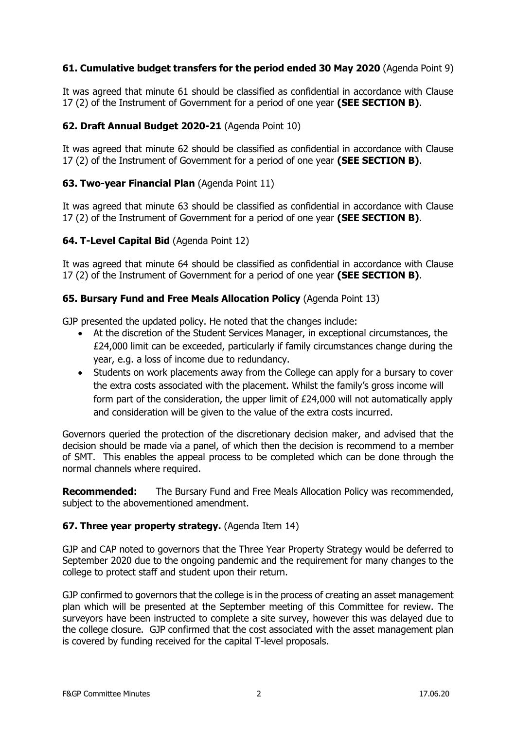## **61. Cumulative budget transfers for the period ended 30 May 2020** (Agenda Point 9)

It was agreed that minute 61 should be classified as confidential in accordance with Clause 17 (2) of the Instrument of Government for a period of one year **(SEE SECTION B)**.

## **62. Draft Annual Budget 2020-21** (Agenda Point 10)

It was agreed that minute 62 should be classified as confidential in accordance with Clause 17 (2) of the Instrument of Government for a period of one year **(SEE SECTION B)**.

## **63. Two-year Financial Plan** (Agenda Point 11)

It was agreed that minute 63 should be classified as confidential in accordance with Clause 17 (2) of the Instrument of Government for a period of one year **(SEE SECTION B)**.

## **64. T-Level Capital Bid** (Agenda Point 12)

It was agreed that minute 64 should be classified as confidential in accordance with Clause 17 (2) of the Instrument of Government for a period of one year **(SEE SECTION B)**.

## **65. Bursary Fund and Free Meals Allocation Policy** (Agenda Point 13)

GJP presented the updated policy. He noted that the changes include:

- At the discretion of the Student Services Manager, in exceptional circumstances, the £24,000 limit can be exceeded, particularly if family circumstances change during the year, e.g. a loss of income due to redundancy.
- Students on work placements away from the College can apply for a bursary to cover the extra costs associated with the placement. Whilst the family's gross income will form part of the consideration, the upper limit of £24,000 will not automatically apply and consideration will be given to the value of the extra costs incurred.

Governors queried the protection of the discretionary decision maker, and advised that the decision should be made via a panel, of which then the decision is recommend to a member of SMT. This enables the appeal process to be completed which can be done through the normal channels where required.

**Recommended:** The Bursary Fund and Free Meals Allocation Policy was recommended, subject to the abovementioned amendment.

## **67. Three year property strategy.** (Agenda Item 14)

GJP and CAP noted to governors that the Three Year Property Strategy would be deferred to September 2020 due to the ongoing pandemic and the requirement for many changes to the college to protect staff and student upon their return.

GJP confirmed to governors that the college is in the process of creating an asset management plan which will be presented at the September meeting of this Committee for review. The surveyors have been instructed to complete a site survey, however this was delayed due to the college closure. GJP confirmed that the cost associated with the asset management plan is covered by funding received for the capital T-level proposals.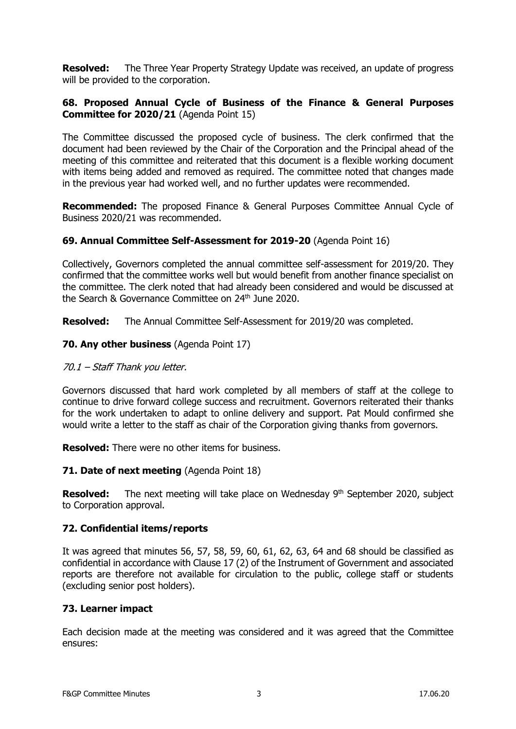**Resolved:** The Three Year Property Strategy Update was received, an update of progress will be provided to the corporation.

## **68. Proposed Annual Cycle of Business of the Finance & General Purposes Committee for 2020/21** (Agenda Point 15)

The Committee discussed the proposed cycle of business. The clerk confirmed that the document had been reviewed by the Chair of the Corporation and the Principal ahead of the meeting of this committee and reiterated that this document is a flexible working document with items being added and removed as required. The committee noted that changes made in the previous year had worked well, and no further updates were recommended.

**Recommended:** The proposed Finance & General Purposes Committee Annual Cycle of Business 2020/21 was recommended.

## **69. Annual Committee Self-Assessment for 2019-20** (Agenda Point 16)

Collectively, Governors completed the annual committee self-assessment for 2019/20. They confirmed that the committee works well but would benefit from another finance specialist on the committee. The clerk noted that had already been considered and would be discussed at the Search & Governance Committee on 24<sup>th</sup> June 2020.

**Resolved:** The Annual Committee Self-Assessment for 2019/20 was completed.

## **70. Any other business** (Agenda Point 17)

#### 70.1 – Staff Thank you letter.

Governors discussed that hard work completed by all members of staff at the college to continue to drive forward college success and recruitment. Governors reiterated their thanks for the work undertaken to adapt to online delivery and support. Pat Mould confirmed she would write a letter to the staff as chair of the Corporation giving thanks from governors.

**Resolved:** There were no other items for business.

#### **71. Date of next meeting** (Agenda Point 18)

**Resolved:** The next meeting will take place on Wednesday 9<sup>th</sup> September 2020, subject to Corporation approval.

## **72. Confidential items/reports**

It was agreed that minutes 56, 57, 58, 59, 60, 61, 62, 63, 64 and 68 should be classified as confidential in accordance with Clause 17 (2) of the Instrument of Government and associated reports are therefore not available for circulation to the public, college staff or students (excluding senior post holders).

## **73. Learner impact**

Each decision made at the meeting was considered and it was agreed that the Committee ensures: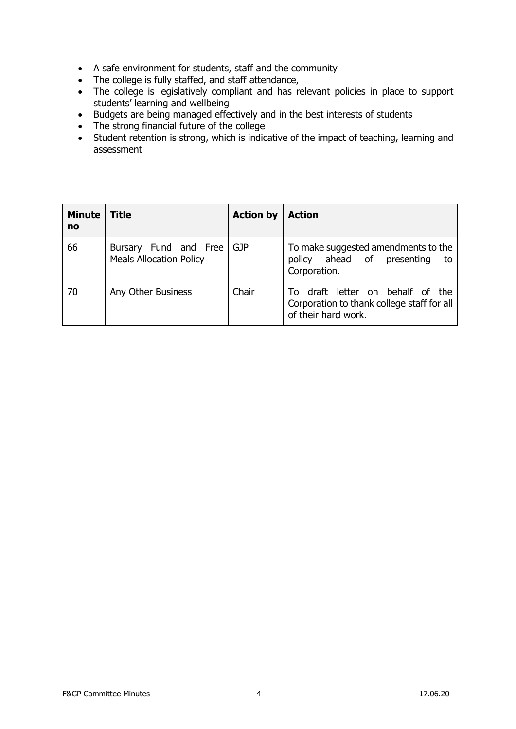- A safe environment for students, staff and the community
- The college is fully staffed, and staff attendance,
- The college is legislatively compliant and has relevant policies in place to support students' learning and wellbeing
- Budgets are being managed effectively and in the best interests of students
- The strong financial future of the college
- Student retention is strong, which is indicative of the impact of teaching, learning and assessment

| <b>Minute</b><br>no | <b>Title</b>                                            | <b>Action by</b> | <b>Action</b>                                                                                         |
|---------------------|---------------------------------------------------------|------------------|-------------------------------------------------------------------------------------------------------|
| 66                  | Bursary Fund and Free<br><b>Meals Allocation Policy</b> | GJP              | To make suggested amendments to the<br>policy ahead of presenting<br>to<br>Corporation.               |
| 70                  | Any Other Business                                      | Chair            | To draft letter on behalf of the<br>Corporation to thank college staff for all<br>of their hard work. |